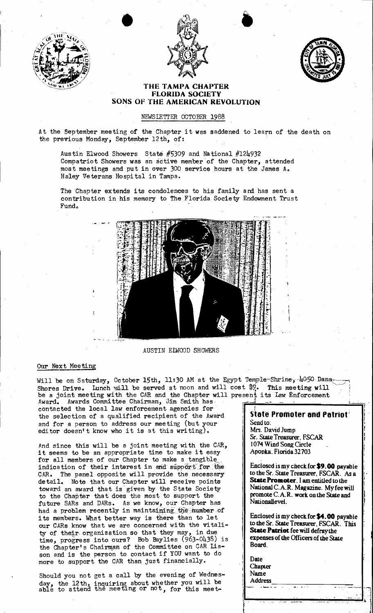





## THE TAMPA CHAPTER FLORIDA SOCIETY SONS OF THE AMERICAN REVOLUTION

## NEWSLETTER OCTOBER 1988

At the September meeting of the Chapter it was saddened to learn of the death on the previous Monday, September 12th, of:

Austin Elwood Showers State #5309 and National #124932 Compatriot Showers was an active member of the Chapter, attended most meetings and put in over 300 service hours' at the James A., Haley Veterans Hospi tal in Tampa.

The Chapter extends its condolences to his family and has sent a contribution in his memory to The Florida Society Endowment Trust Fund.



AUSTIN ELWOOD SHOWERS

## Our Next Meeting

Will be on Saturday, October 15th, 11:30 AM at the Egypt Temple-Shrine,  $4050$  Dana Shores Drive. Lunch eill be served at noon and will cost  $\frac{1}{2}$ . This meeting will ,... be a joint meeting with the CAR and the Chapter will present its Law Enforcement Award. Awards Committee Chairman, Jim Smith has Award. Awards Committee Chairman, Jim Smith has contacted the local law enforcement agencies for the selection of a qualified recipient of the Award and for a person to address our meeting (but your editor doesn't know who it is at this writing). Lev. This meeting will<br>
sent its Law Enforcement<br>
State Promoter and Patriot Send to:

And since this will be *B.* joint meeting with the CAR, it seems to be an appropriate time to make it easy for all members of our Chapter to make a tangible indication of their interest in and support for the CAR. The panel opposite will provide the necessary detail. Note that our Chapter will receive points toward an award that is' given by the State Society to the Chapter that does the most to support the future SARs and DARs. As we know, our Chapter has had a problem recently in maintaining the number of its members. What better way is there than to let our CARs know that we are concerned with the vitality of their· organization so that they may, in due time, progress into ours? Bob Baylies (963-0438) is the Chapter's Chairman of the Committee on CAR Lia son and is the person to contact if YOU want to do more to support the CAR than just financially.

Should you not get a call by the evening of Wednesday, the 12th, inquiring about whether you will be able to attend the meeting or not, for this meet-

Mrs. David Jump Sr. StateTreasurer. FSCAR 1074 Wind Song Circle Apopka, Florida 32703

 $\mathbf{I}^{\text{in}}$ ' I I

 $\mathfrak{f}$ i .

**.** I

i<br>I i<br>I  $\overline{\phantom{a}}$ 

Enclosed is my check for  $$9.00$  payable to the Sr. State Treasurer, FSCAR. As a State Promoter. I am entitled to the National C.A.R. Magazine. My fee will promote C.A.R. work onthe State and Nationallevel.

Enclosed is my check for  $$4.00$  payable to the Sr. State Treasurer. FSCAR. This State Patriot fee will defraythe expenses of the Officers of the State Board. .

 $\mathfrak{g}_1$  . In the contract of the contract of the contract of the contract of the contract of the contract of the contract of the contract of the contract of the contract of the contract of the contract of the contract

.-----.-:. ·:·:--":'-1.1 f'  $\mathbf{1}$  . The set of the set of the set of the set of the set of the set of the set of the set of the set of the set of the set of the set of the set of the set of the set of the set of the set of the set of the set of t

**Date** Chapter } Name **Address** Name<br>Address

 $\cdot$  . it •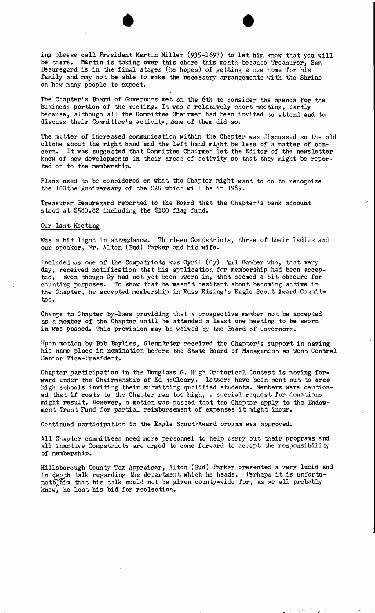ing please call President Martin Miller (935-1697) to let him know that you will be there. Martin is taking over this chore this. month because Treasurer, Sam Beauregard is in the final stages (he hopes) of getting a new home for his family and may not be able to make the necessary arrangements with the Shrine on how many people to expect.

 $\bullet$   $\bullet$ 

The Chapter's Board of Governors met on the 6th to consider the agenda for the business portion of the meeting. It was a relatively short meeting, partly because, although all the Committee Chairmen had been invited to attend and to discuss their Committee's activity, none of them did so.

The matter of increased communication within the Chapter was discussed so the old cliche about the right hand and the left hand might be less of a matter of con-<br>cern. It was suggested that Committee Chairmen let the Editor of the newslette It was suggested that Committee Chairmen let the Editor of the newsletter know of new developments in their areas of activity so that they might be reported on to the membership.

Plans need to be considered on what the Chapter might want to do to recognize the 100 the Anniversary of the SAR which will be in 1989.

Treasurer Beauregard reported to the Board that the Chapter's bank account stood at \$580.82 including the \$100 flag fund.

## Our last Meeting

Was a bit light in attendance. Thirteen Compatriots, three of their ladies and our speaker, Mr. Alton (Bud) Parker and his wife.

Included \as one of the Compatriots was Cyril (Cy) Paul Gamber Who, that very day, received notification that his application for membership had been accepted. Even though Cy had not yet been sworn in, that seemed a bit obscure for counting purposes. To show that he wasn't hesi tant about becoming active in the Chapter, he accepted membership in Russ Rising's Eagle Scout Award Committee.

Change to Chapter by-laws providing that a prospective member not be accepted as a member of the Chapter until he attended a least one meeting to be sworn in was passed. This provision may be waived by the Eoard of Governors.

Upon motion by Bob Baylies, GlennArter received the Chapter's support in having his name place in nomination before the State Board of Management as West Central Senior Vice-President.

Chapter participation in the Douglass G.. High Oratorical Contest is moving forward under the Chairmanship of Ed McCleary. Letters have been sent out to area high schools inviting their submi tting qualified students. Members were cau tioned that if cos ts to the Chapter ran too high, a special request for donations might result. However, a motion was passed that the Chapter apply to the Endowment Trust Fund for partial reimbursement of expenses it might incur.

Continued participation in the Eagle Scout Award progam was approved.

All Chapter committees need more personnel to help carry out their programs and all inactive Compatriots are urged to come forward to accept the responsibility of membership.

Hillsborough County Tax Appraiser, Alton (Bud) Parker presented a very lucid and in depth talk regarding the department which he heads. Perhaps it is unfortu-<br>nate him that his talk could not be given county-wide for, as we all probably  $n_{min}$  that his talk could not be given county-wide for, as we all probably know, he lost his bid for reelection.